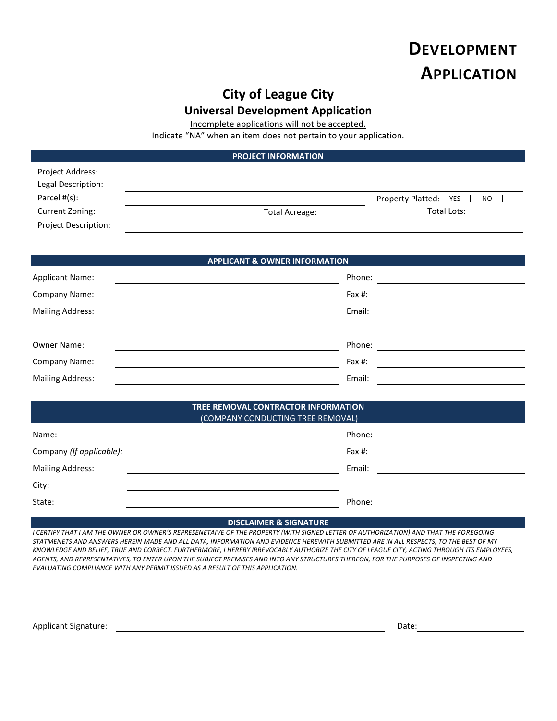# **DEVELOPMENT APPLICATION**

# **City of League City**

## **Universal Development Application**

Incomplete applications will not be accepted.

Indicate "NA" when an item does not pertain to your application.

#### **PROJECT INFORMATION**

| Project Address:            |                |                                            |  |
|-----------------------------|----------------|--------------------------------------------|--|
| Legal Description:          |                |                                            |  |
| Parcel #(s):                |                | NO <sub>1</sub><br>Property Platted: $YES$ |  |
| Current Zoning:             | Total Acreage: | Total Lots:                                |  |
| <b>Project Description:</b> |                |                                            |  |

## **APPLICANT & OWNER INFORMATION**

| <b>Applicant Name:</b>  | Phone: |  |
|-------------------------|--------|--|
| Company Name:           | Fax #: |  |
| <b>Mailing Address:</b> | Email: |  |
|                         |        |  |
| Owner Name:             | Phone: |  |
| Company Name:           | Fax #: |  |
| <b>Mailing Address:</b> | Email: |  |

#### **TREE REMOVAL CONTRACTOR INFORMATION** (COMPANY CONDUCTING TREE REMOVAL)

| Name:                    | Phone: |
|--------------------------|--------|
| Company (If applicable): | Fax #: |
| <b>Mailing Address:</b>  | Email: |
| City:                    |        |
| State:                   | Phone: |

#### **DISCLAIMER & SIGNATURE**

*I CERTIFY THAT I AM THE OWNER OR OWNER'S REPRESENETAIVE OF THE PROPERTY (WITH SIGNED LETTER OF AUTHORIZATION) AND THAT THE FOREGOING STATMENETS AND ANSWERS HEREIN MADE AND ALL DATA, INFORMATION AND EVIDENCE HEREWITH SUBMITTED ARE IN ALL RESPECTS, TO THE BEST OF MY KNOWLEDGE AND BELIEF, TRUE AND CORRECT. FURTHERMORE, I HEREBY IRREVOCABLY AUTHORIZE THE CITY OF LEAGUE CITY, ACTING THROUGH ITS EMPLOYEES, AGENTS, AND REPRESENTATIVES, TO ENTER UPON THE SUBJECT PREMISES AND INTO ANY STRUCTURES THEREON, FOR THE PURPOSES OF INSPECTING AND EVALUATING COMPLIANCE WITH ANY PERMIT ISSUED AS A RESULT OF THIS APPLICATION.*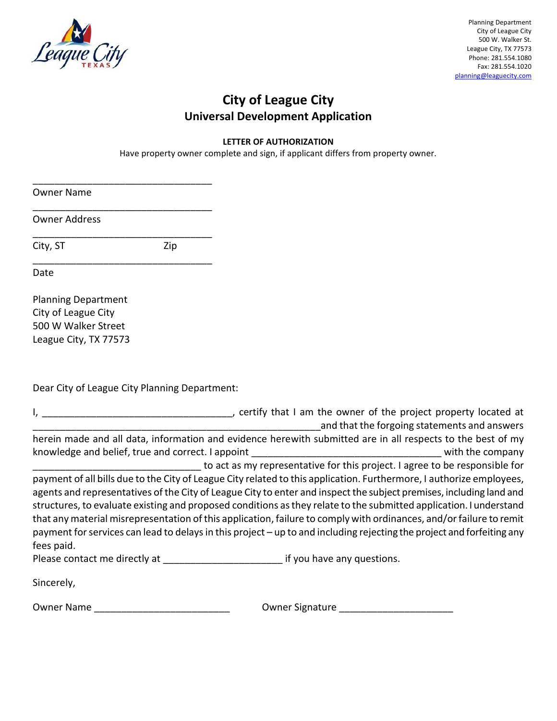

# **City of League City Universal Development Application**

### **LETTER OF AUTHORIZATION**

Have property owner complete and sign, if applicant differs from property owner.

Owner Name

Owner Address

City, ST Zip

 $\overline{\phantom{a}}$ 

\_\_\_\_\_\_\_\_\_\_\_\_\_\_\_\_\_\_\_\_\_\_\_\_\_\_\_\_\_\_\_\_\_

\_\_\_\_\_\_\_\_\_\_\_\_\_\_\_\_\_\_\_\_\_\_\_\_\_\_\_\_\_\_\_\_\_

\_\_\_\_\_\_\_\_\_\_\_\_\_\_\_\_\_\_\_\_\_\_\_\_\_\_\_\_\_\_\_\_\_

Date

Planning Department City of League City 500 W Walker Street League City, TX 77573

Dear City of League City Planning Department:

|                                                   | certify that I am the owner of the project property located at                                                                                                                                                                                                                                                                                                                                                                                                                                                                                                                                                     |
|---------------------------------------------------|--------------------------------------------------------------------------------------------------------------------------------------------------------------------------------------------------------------------------------------------------------------------------------------------------------------------------------------------------------------------------------------------------------------------------------------------------------------------------------------------------------------------------------------------------------------------------------------------------------------------|
|                                                   | and that the forgoing statements and answers                                                                                                                                                                                                                                                                                                                                                                                                                                                                                                                                                                       |
|                                                   | herein made and all data, information and evidence herewith submitted are in all respects to the best of my                                                                                                                                                                                                                                                                                                                                                                                                                                                                                                        |
| knowledge and belief, true and correct. I appoint | with the company                                                                                                                                                                                                                                                                                                                                                                                                                                                                                                                                                                                                   |
|                                                   | to act as my representative for this project. I agree to be responsible for                                                                                                                                                                                                                                                                                                                                                                                                                                                                                                                                        |
| fees paid.                                        | payment of all bills due to the City of League City related to this application. Furthermore, I authorize employees,<br>agents and representatives of the City of League City to enter and inspect the subject premises, including land and<br>structures, to evaluate existing and proposed conditions as they relate to the submitted application. I understand<br>that any material misrepresentation of this application, failure to comply with ordinances, and/or failure to remit<br>payment for services can lead to delays in this project – up to and including rejecting the project and forfeiting any |
| Please contact me directly at                     | if you have any questions.                                                                                                                                                                                                                                                                                                                                                                                                                                                                                                                                                                                         |
| Sincerely,                                        |                                                                                                                                                                                                                                                                                                                                                                                                                                                                                                                                                                                                                    |

Owner Name \_\_\_\_\_\_\_\_\_\_\_\_\_\_\_\_\_\_\_\_\_\_\_\_\_ Owner Signature \_\_\_\_\_\_\_\_\_\_\_\_\_\_\_\_\_\_\_\_\_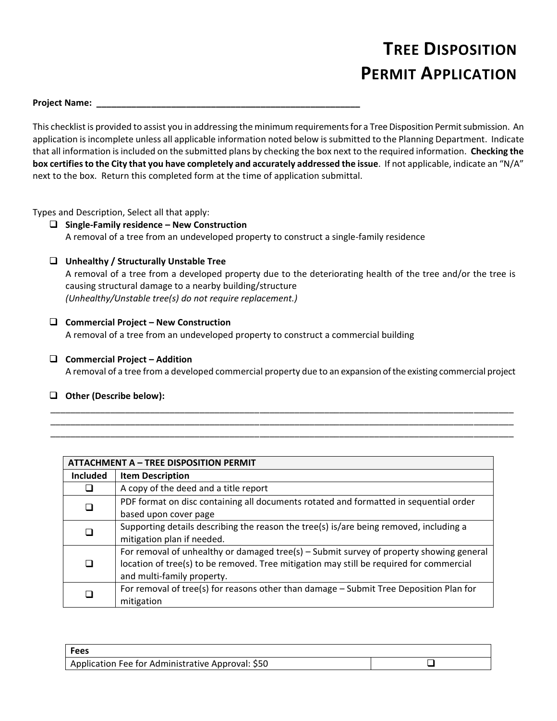# **TREE DISPOSITION PERMIT APPLICATION**

#### **Project Name: \_\_\_\_\_\_\_\_\_\_\_\_\_\_\_\_\_\_\_\_\_\_\_\_\_\_\_\_\_\_\_\_\_\_\_\_\_\_\_\_\_\_\_\_\_\_\_\_\_\_\_\_\_**

This checklist is provided to assist you in addressing the minimum requirements for a Tree Disposition Permit submission. An application is incomplete unless all applicable information noted below is submitted to the Planning Department. Indicate that all information isincluded on the submitted plans by checking the box next to the required information. **Checking the box certifiesto the City that you have completely and accurately addressed the issue**. If not applicable, indicate an "N/A" next to the box. Return this completed form at the time of application submittal.

Types and Description, Select all that apply:

- ❑ **Single-Family residence – New Construction** A removal of a tree from an undeveloped property to construct a single-family residence
- ❑ **Unhealthy / Structurally Unstable Tree**

A removal of a tree from a developed property due to the deteriorating health of the tree and/or the tree is causing structural damage to a nearby building/structure *(Unhealthy/Unstable tree(s) do not require replacement.)*

❑ **Commercial Project – New Construction**

A removal of a tree from an undeveloped property to construct a commercial building

❑ **Commercial Project – Addition** A removal of a tree from a developed commercial property due to an expansion ofthe existing commercial project

\_\_\_\_\_\_\_\_\_\_\_\_\_\_\_\_\_\_\_\_\_\_\_\_\_\_\_\_\_\_\_\_\_\_\_\_\_\_\_\_\_\_\_\_\_\_\_\_\_\_\_\_\_\_\_\_\_\_\_\_\_\_\_\_\_\_\_\_\_\_\_\_\_\_\_\_\_\_\_\_\_\_\_\_\_\_\_\_\_\_\_\_\_ \_\_\_\_\_\_\_\_\_\_\_\_\_\_\_\_\_\_\_\_\_\_\_\_\_\_\_\_\_\_\_\_\_\_\_\_\_\_\_\_\_\_\_\_\_\_\_\_\_\_\_\_\_\_\_\_\_\_\_\_\_\_\_\_\_\_\_\_\_\_\_\_\_\_\_\_\_\_\_\_\_\_\_\_\_\_\_\_\_\_\_\_\_ \_\_\_\_\_\_\_\_\_\_\_\_\_\_\_\_\_\_\_\_\_\_\_\_\_\_\_\_\_\_\_\_\_\_\_\_\_\_\_\_\_\_\_\_\_\_\_\_\_\_\_\_\_\_\_\_\_\_\_\_\_\_\_\_\_\_\_\_\_\_\_\_\_\_\_\_\_\_\_\_\_\_\_\_\_\_\_\_\_\_\_\_\_

❑ **Other (Describe below):** 

| <b>ATTACHMENT A - TREE DISPOSITION PERMIT</b> |                                                                                                                                                                                                                  |  |
|-----------------------------------------------|------------------------------------------------------------------------------------------------------------------------------------------------------------------------------------------------------------------|--|
| <b>Included</b>                               | <b>Item Description</b>                                                                                                                                                                                          |  |
|                                               | A copy of the deed and a title report                                                                                                                                                                            |  |
| □                                             | PDF format on disc containing all documents rotated and formatted in sequential order<br>based upon cover page                                                                                                   |  |
|                                               | Supporting details describing the reason the tree(s) is/are being removed, including a<br>mitigation plan if needed.                                                                                             |  |
| □                                             | For removal of unhealthy or damaged tree(s) – Submit survey of property showing general<br>location of tree(s) to be removed. Tree mitigation may still be required for commercial<br>and multi-family property. |  |
|                                               | For removal of tree(s) for reasons other than damage - Submit Tree Deposition Plan for<br>mitigation                                                                                                             |  |

| Fees                                              |  |
|---------------------------------------------------|--|
| Application Fee for Administrative Approval: \$50 |  |